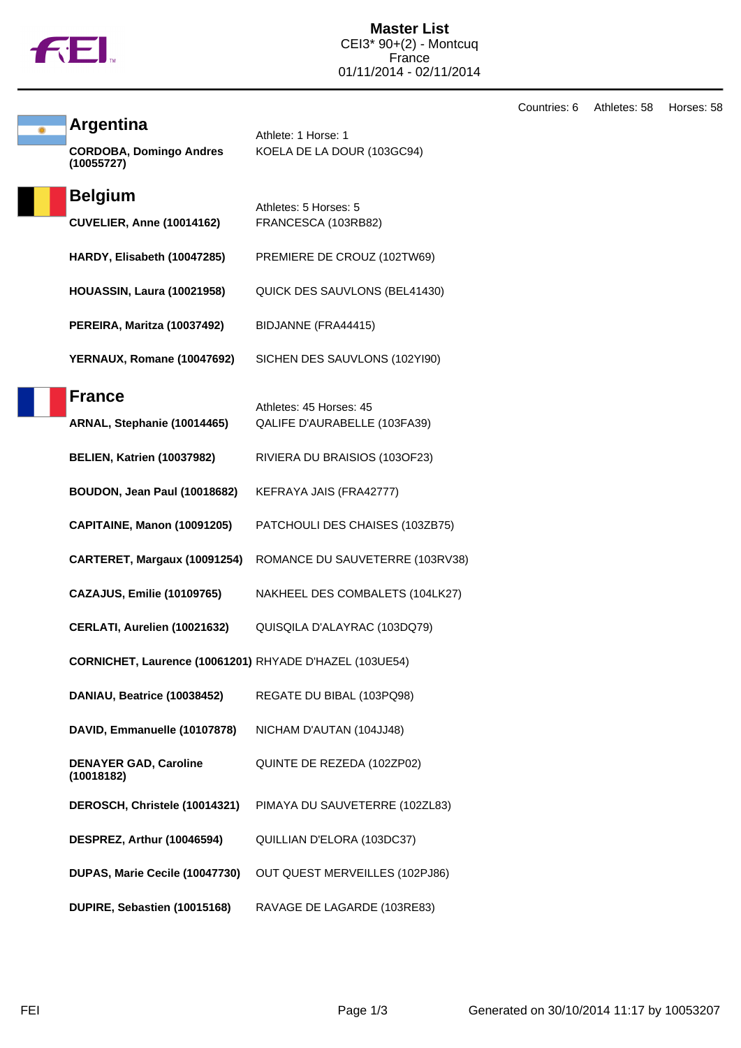

**Argentina** 

Countries: 6 Athletes: 58 Horses: 58

| <b>CORDOBA, Domingo Andres</b><br>(10055727)            | KOELA DE LA DOUR (103GC94)                              |
|---------------------------------------------------------|---------------------------------------------------------|
| <b>Belgium</b>                                          | Athletes: 5 Horses: 5                                   |
| <b>CUVELIER, Anne (10014162)</b>                        | FRANCESCA (103RB82)                                     |
| HARDY, Elisabeth (10047285)                             | PREMIERE DE CROUZ (102TW69)                             |
| <b>HOUASSIN, Laura (10021958)</b>                       | QUICK DES SAUVLONS (BEL41430)                           |
| PEREIRA, Maritza (10037492)                             | BIDJANNE (FRA44415)                                     |
| YERNAUX, Romane (10047692)                              | SICHEN DES SAUVLONS (102YI90)                           |
| <b>France</b>                                           |                                                         |
| ARNAL, Stephanie (10014465)                             | Athletes: 45 Horses: 45<br>QALIFE D'AURABELLE (103FA39) |
| <b>BELIEN, Katrien (10037982)</b>                       | RIVIERA DU BRAISIOS (103OF23)                           |
| BOUDON, Jean Paul (10018682)                            | KEFRAYA JAIS (FRA42777)                                 |
| CAPITAINE, Manon (10091205)                             | PATCHOULI DES CHAISES (103ZB75)                         |
| CARTERET, Margaux (10091254)                            | ROMANCE DU SAUVETERRE (103RV38)                         |
| <b>CAZAJUS, Emilie (10109765)</b>                       | NAKHEEL DES COMBALETS (104LK27)                         |
| CERLATI, Aurelien (10021632)                            | QUISQILA D'ALAYRAC (103DQ79)                            |
| CORNICHET, Laurence (10061201) RHYADE D'HAZEL (103UE54) |                                                         |
| DANIAU, Beatrice (10038452)                             | REGATE DU BIBAL (103PQ98)                               |
| DAVID, Emmanuelle (10107878)                            | NICHAM D'AUTAN (104JJ48)                                |
| <b>DENAYER GAD, Caroline</b><br>(10018182)              | QUINTE DE REZEDA (102ZP02)                              |
| DEROSCH, Christele (10014321)                           | PIMAYA DU SAUVETERRE (102ZL83)                          |
| DESPREZ, Arthur (10046594)                              | QUILLIAN D'ELORA (103DC37)                              |
| DUPAS, Marie Cecile (10047730)                          | OUT QUEST MERVEILLES (102PJ86)                          |
| DUPIRE, Sebastien (10015168)                            | RAVAGE DE LAGARDE (103RE83)                             |

Athlete: 1 Horse: 1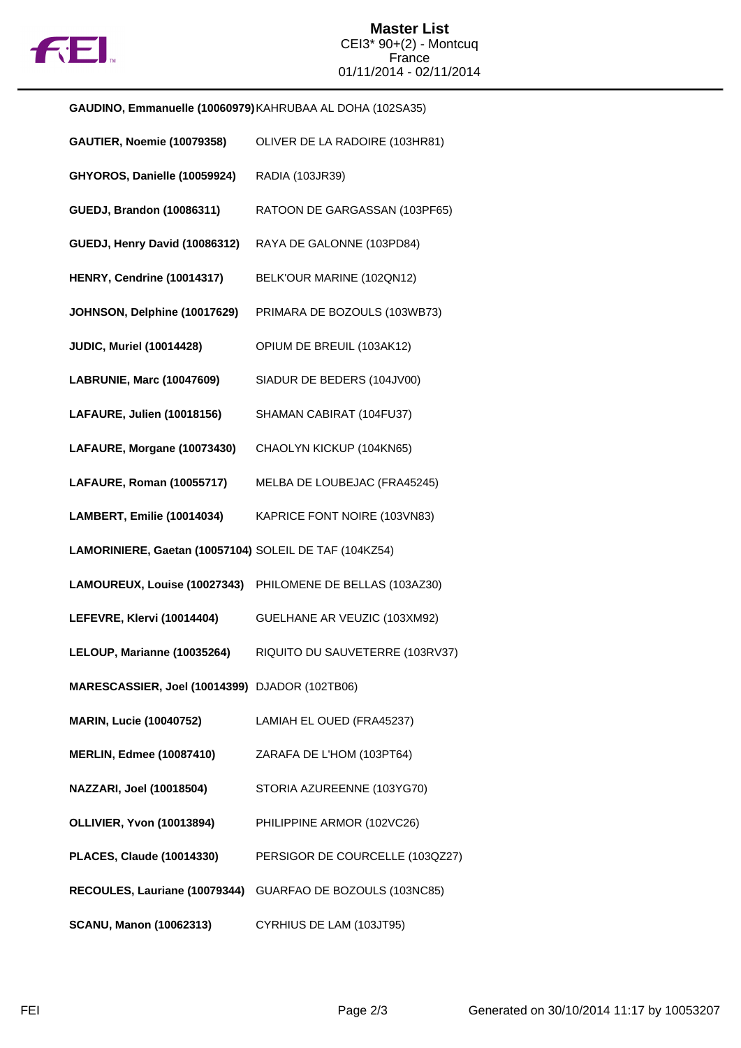

| GAUDINO, Emmanuelle (10060979) KAHRUBAA AL DOHA (102SA35) |                                                            |  |  |  |
|-----------------------------------------------------------|------------------------------------------------------------|--|--|--|
| <b>GAUTIER, Noemie (10079358)</b>                         | OLIVER DE LA RADOIRE (103HR81)                             |  |  |  |
| GHYOROS, Danielle (10059924)                              | RADIA (103JR39)                                            |  |  |  |
| <b>GUEDJ, Brandon (10086311)</b>                          | RATOON DE GARGASSAN (103PF65)                              |  |  |  |
| GUEDJ, Henry David (10086312)                             | RAYA DE GALONNE (103PD84)                                  |  |  |  |
| <b>HENRY, Cendrine (10014317)</b>                         | BELK'OUR MARINE (102QN12)                                  |  |  |  |
| JOHNSON, Delphine (10017629)                              | PRIMARA DE BOZOULS (103WB73)                               |  |  |  |
| <b>JUDIC, Muriel (10014428)</b>                           | OPIUM DE BREUIL (103AK12)                                  |  |  |  |
| <b>LABRUNIE, Marc (10047609)</b>                          | SIADUR DE BEDERS (104JV00)                                 |  |  |  |
| LAFAURE, Julien (10018156)                                | SHAMAN CABIRAT (104FU37)                                   |  |  |  |
| LAFAURE, Morgane (10073430)                               | CHAOLYN KICKUP (104KN65)                                   |  |  |  |
| LAFAURE, Roman (10055717)                                 | MELBA DE LOUBEJAC (FRA45245)                               |  |  |  |
| LAMBERT, Emilie (10014034)                                | KAPRICE FONT NOIRE (103VN83)                               |  |  |  |
| LAMORINIERE, Gaetan (10057104) SOLEIL DE TAF (104KZ54)    |                                                            |  |  |  |
|                                                           | LAMOUREUX, Louise (10027343) PHILOMENE DE BELLAS (103AZ30) |  |  |  |
| LEFEVRE, Klervi (10014404)                                | GUELHANE AR VEUZIC (103XM92)                               |  |  |  |
| LELOUP, Marianne (10035264)                               | RIQUITO DU SAUVETERRE (103RV37)                            |  |  |  |
| MARESCASSIER, Joel (10014399) DJADOR (102TB06)            |                                                            |  |  |  |
| <b>MARIN, Lucie (10040752)</b>                            | LAMIAH EL OUED (FRA45237)                                  |  |  |  |
| <b>MERLIN, Edmee (10087410)</b>                           | ZARAFA DE L'HOM (103PT64)                                  |  |  |  |
| <b>NAZZARI, Joel (10018504)</b>                           | STORIA AZUREENNE (103YG70)                                 |  |  |  |
| <b>OLLIVIER, Yvon (10013894)</b>                          | PHILIPPINE ARMOR (102VC26)                                 |  |  |  |
| <b>PLACES, Claude (10014330)</b>                          | PERSIGOR DE COURCELLE (103QZ27)                            |  |  |  |
|                                                           | RECOULES, Lauriane (10079344) GUARFAO DE BOZOULS (103NC85) |  |  |  |
| <b>SCANU, Manon (10062313)</b>                            | CYRHIUS DE LAM (103JT95)                                   |  |  |  |